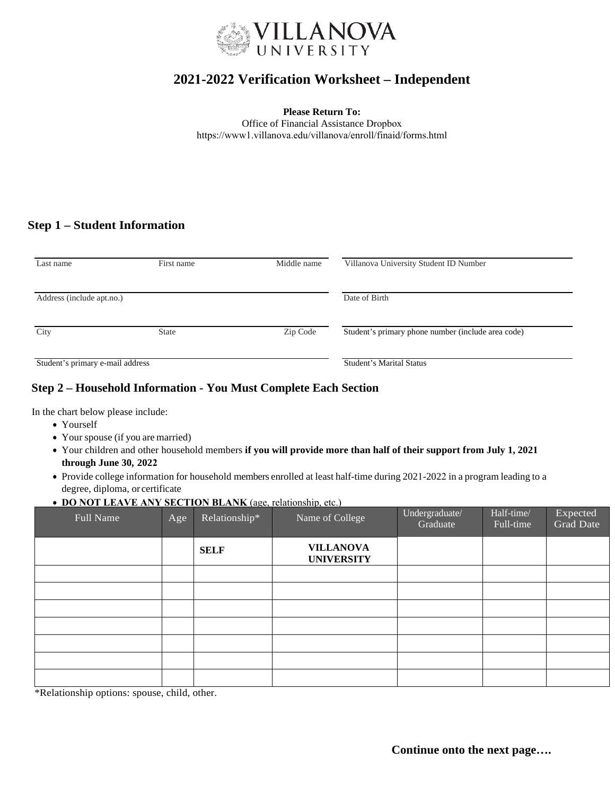

# **2021-2022 Verification Worksheet – Independent**

**Please Return To:** 

Office of Financial Assistance Dropbox https://www1.villanova.edu/villanova/enroll/finaid/forms.html

## **Step 1 – Student Information**

| Last name                        | First name   | Middle name              | Villanova University Student ID Number             |  |
|----------------------------------|--------------|--------------------------|----------------------------------------------------|--|
| Address (include apt.no.)        |              |                          | Date of Birth                                      |  |
| City                             | <b>State</b> | Zip Code                 | Student's primary phone number (include area code) |  |
| Student's primary e-mail address |              | Student's Marital Status |                                                    |  |

### **Step 2 – Household Information - You Must Complete Each Section**

In the chart below please include:

- Yourself
- Your spouse (if you are married)
- Your children and other household members **if you will provide more than half of their support from July 1, 2021 through June 30, 2022**
- Provide college information for household members enrolled at least half-time during 2021-2022 in a program leading to a degree, diploma, or certificate
- **DO NOT LEAVE ANY SECTION BLANK** (age, relationship, etc.)

| Full Name | Age | Relationship* | Name of College                       | Undergraduate/<br>Graduate | Half-time/<br>Full-time | Expected<br><b>Grad Date</b> |
|-----------|-----|---------------|---------------------------------------|----------------------------|-------------------------|------------------------------|
|           |     | <b>SELF</b>   | <b>VILLANOVA</b><br><b>UNIVERSITY</b> |                            |                         |                              |
|           |     |               |                                       |                            |                         |                              |
|           |     |               |                                       |                            |                         |                              |
|           |     |               |                                       |                            |                         |                              |
|           |     |               |                                       |                            |                         |                              |
|           |     |               |                                       |                            |                         |                              |
|           |     |               |                                       |                            |                         |                              |
|           |     |               |                                       |                            |                         |                              |

\*Relationship options: spouse, child, other.